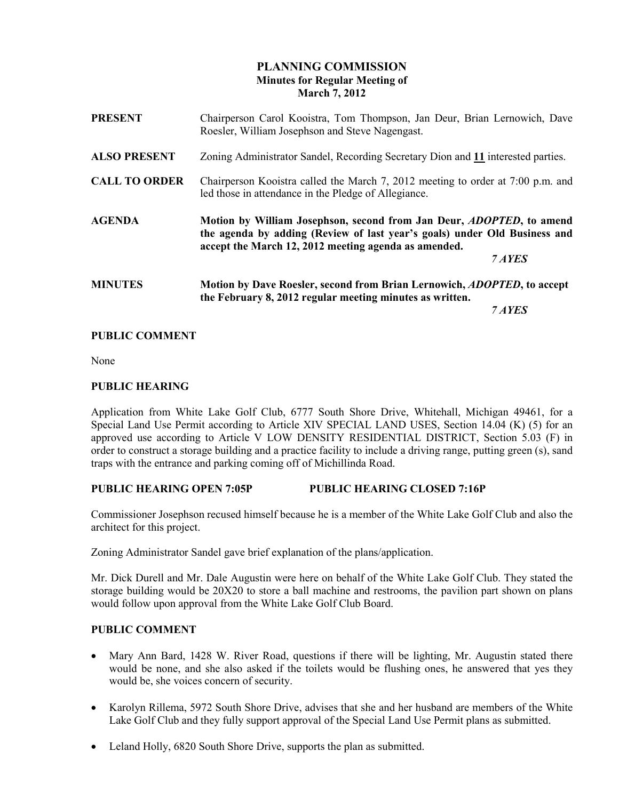# PLANNING COMMISSION Minutes for Regular Meeting of March 7, 2012

| <b>PRESENT</b>       | Chairperson Carol Kooistra, Tom Thompson, Jan Deur, Brian Lernowich, Dave<br>Roesler, William Josephson and Steve Nagengast.                                                                                                |  |
|----------------------|-----------------------------------------------------------------------------------------------------------------------------------------------------------------------------------------------------------------------------|--|
| <b>ALSO PRESENT</b>  | Zoning Administrator Sandel, Recording Secretary Dion and 11 interested parties.                                                                                                                                            |  |
| <b>CALL TO ORDER</b> | Chairperson Kooistra called the March 7, 2012 meeting to order at 7:00 p.m. and<br>led those in attendance in the Pledge of Allegiance.                                                                                     |  |
| <b>AGENDA</b>        | Motion by William Josephson, second from Jan Deur, <i>ADOPTED</i> , to amend<br>the agenda by adding (Review of last year's goals) under Old Business and<br>accept the March 12, 2012 meeting agenda as amended.<br>7 AYES |  |
| <b>MINUTES</b>       | Motion by Dave Roesler, second from Brian Lernowich, <i>ADOPTED</i> , to accept<br>the February 8, 2012 regular meeting minutes as written.                                                                                 |  |

#### PUBLIC COMMENT

None

#### PUBLIC HEARING

Application from White Lake Golf Club, 6777 South Shore Drive, Whitehall, Michigan 49461, for a Special Land Use Permit according to Article XIV SPECIAL LAND USES, Section 14.04 (K) (5) for an approved use according to Article V LOW DENSITY RESIDENTIAL DISTRICT, Section 5.03 (F) in order to construct a storage building and a practice facility to include a driving range, putting green (s), sand traps with the entrance and parking coming off of Michillinda Road.

### PUBLIC HEARING OPEN 7:05P PUBLIC HEARING CLOSED 7:16P

Commissioner Josephson recused himself because he is a member of the White Lake Golf Club and also the architect for this project.

Zoning Administrator Sandel gave brief explanation of the plans/application.

Mr. Dick Durell and Mr. Dale Augustin were here on behalf of the White Lake Golf Club. They stated the storage building would be 20X20 to store a ball machine and restrooms, the pavilion part shown on plans would follow upon approval from the White Lake Golf Club Board.

### PUBLIC COMMENT

- Mary Ann Bard, 1428 W. River Road, questions if there will be lighting, Mr. Augustin stated there would be none, and she also asked if the toilets would be flushing ones, he answered that yes they would be, she voices concern of security.
- Karolyn Rillema, 5972 South Shore Drive, advises that she and her husband are members of the White Lake Golf Club and they fully support approval of the Special Land Use Permit plans as submitted.
- Leland Holly, 6820 South Shore Drive, supports the plan as submitted.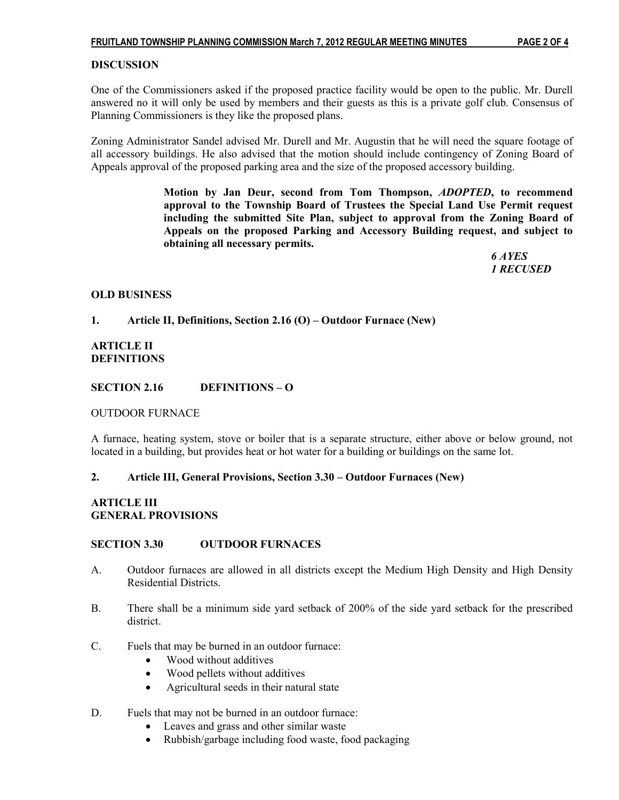### **DISCUSSION**

One of the Commissioners asked if the proposed practice facility would be open to the public. Mr. Durell answered no it will only be used by members and their guests as this is a private golf club. Consensus of Planning Commissioners is they like the proposed plans.

Zoning Administrator Sandel advised Mr. Durell and Mr. Augustin that he will need the square footage of all accessory buildings. He also advised that the motion should include contingency of Zoning Board of Appeals approval of the proposed parking area and the size of the proposed accessory building.

> Motion by Jan Deur, second from Tom Thompson, ADOPTED, to recommend approval to the Township Board of Trustees the Special Land Use Permit request including the submitted Site Plan, subject to approval from the Zoning Board of Appeals on the proposed Parking and Accessory Building request, and subject to obtaining all necessary permits.

 6 AYES 1 RECUSED

### OLD BUSINESS

### 1. Article II, Definitions, Section 2.16 (O) – Outdoor Furnace (New)

ARTICLE II DEFINITIONS

### SECTION 2.16 DEFINITIONS – O

### OUTDOOR FURNACE

A furnace, heating system, stove or boiler that is a separate structure, either above or below ground, not located in a building, but provides heat or hot water for a building or buildings on the same lot.

### 2. Article III, General Provisions, Section 3.30 – Outdoor Furnaces (New)

# ARTICLE III GENERAL PROVISIONS

### SECTION 3.30 OUTDOOR FURNACES

- A. Outdoor furnaces are allowed in all districts except the Medium High Density and High Density Residential Districts.
- B. There shall be a minimum side yard setback of 200% of the side yard setback for the prescribed district.
- C. Fuels that may be burned in an outdoor furnace:
	- Wood without additives
	- Wood pellets without additives
	- Agricultural seeds in their natural state
- D. Fuels that may not be burned in an outdoor furnace:
	- Leaves and grass and other similar waste
	- Rubbish/garbage including food waste, food packaging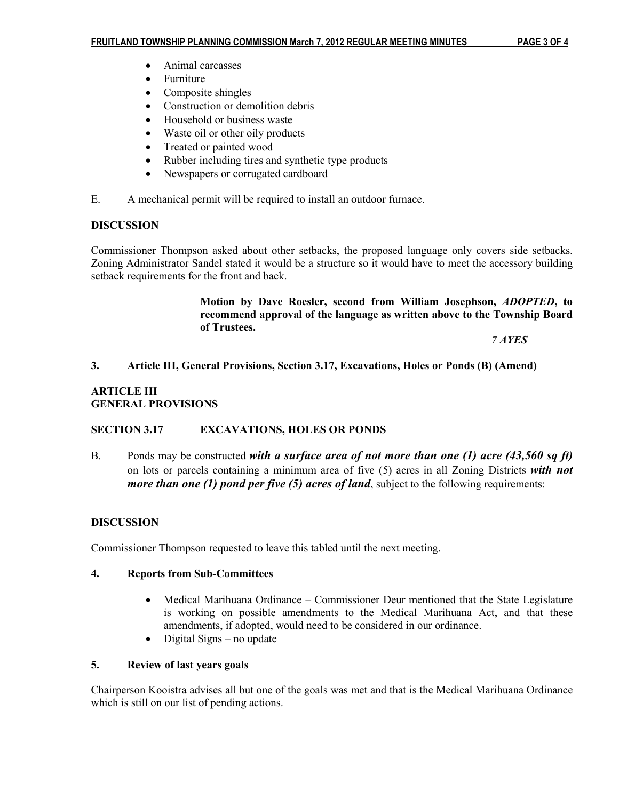- Animal carcasses
- Furniture
- Composite shingles
- Construction or demolition debris
- Household or business waste
- Waste oil or other oily products
- Treated or painted wood
- Rubber including tires and synthetic type products
- Newspapers or corrugated cardboard
- E. A mechanical permit will be required to install an outdoor furnace.

# **DISCUSSION**

Commissioner Thompson asked about other setbacks, the proposed language only covers side setbacks. Zoning Administrator Sandel stated it would be a structure so it would have to meet the accessory building setback requirements for the front and back.

> Motion by Dave Roesler, second from William Josephson, ADOPTED, to recommend approval of the language as written above to the Township Board of Trustees.

7 AYES

### 3. Article III, General Provisions, Section 3.17, Excavations, Holes or Ponds (B) (Amend)

### ARTICLE III GENERAL PROVISIONS

# SECTION 3.17 EXCAVATIONS, HOLES OR PONDS

B. Ponds may be constructed with a surface area of not more than one (1) acre (43,560 sq ft) on lots or parcels containing a minimum area of five  $(5)$  acres in all Zoning Districts with not *more than one (1) pond per five (5) acres of land*, subject to the following requirements:

# DISCUSSION

Commissioner Thompson requested to leave this tabled until the next meeting.

### 4. Reports from Sub-Committees

- Medical Marihuana Ordinance Commissioner Deur mentioned that the State Legislature is working on possible amendments to the Medical Marihuana Act, and that these amendments, if adopted, would need to be considered in our ordinance.
- Digital Signs no update

### 5. Review of last years goals

Chairperson Kooistra advises all but one of the goals was met and that is the Medical Marihuana Ordinance which is still on our list of pending actions.